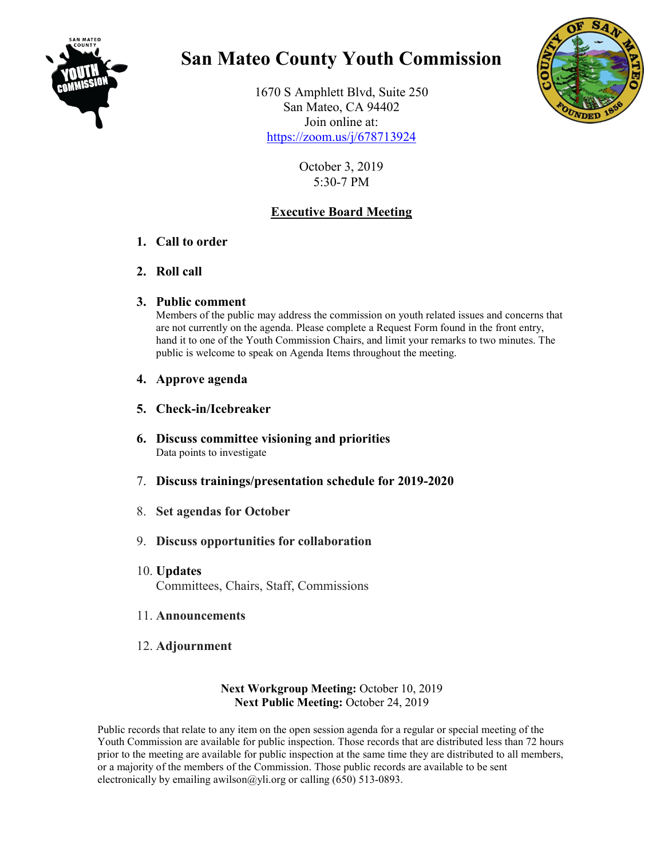

## **San Mateo County Youth Commission**

1670 S Amphlett Blvd, Suite 250 San Mateo, CA 94402 Join online at: <https://zoom.us/j/678713924>



October 3, 2019 5:30-7 PM

## **Executive Board Meeting**

## **1. Call to order**

- **2. Roll call**
- **3. Public comment**

Members of the public may address the commission on youth related issues and concerns that are not currently on the agenda. Please complete a Request Form found in the front entry, hand it to one of the Youth Commission Chairs, and limit your remarks to two minutes. The public is welcome to speak on Agenda Items throughout the meeting.

- **4. Approve agenda**
- **5. Check-in/Icebreaker**
- **6. Discuss committee visioning and priorities** Data points to investigate
- 7. **Discuss trainings/presentation schedule for 2019-2020**
- 8. **Set agendas for October**
- 9. **Discuss opportunities for collaboration**
- 10. **Updates** Committees, Chairs, Staff, Commissions
- 11. **Announcements**
- 12. **Adjournment**

## **Next Workgroup Meeting:** October 10, 2019 **Next Public Meeting:** October 24, 2019

Public records that relate to any item on the open session agenda for a regular or special meeting of the Youth Commission are available for public inspection. Those records that are distributed less than 72 hours prior to the meeting are available for public inspection at the same time they are distributed to all members, or a majority of the members of the Commission. Those public records are available to be sent electronically by emailing awilson  $\omega$ yli.org or calling (650) 513-0893.